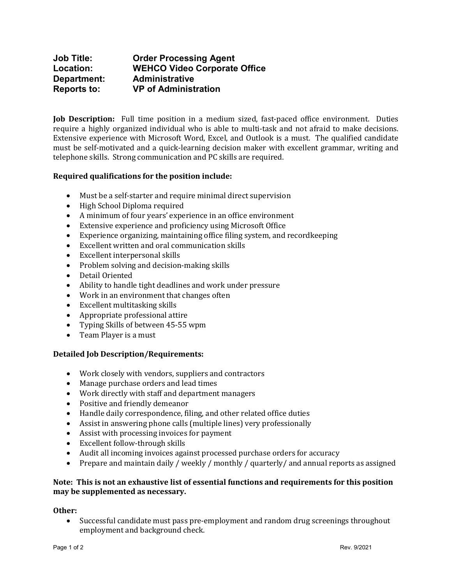## **Job Title: Order Processing Agent Location: WEHCO Video Corporate Office Department: Administrative Reports to: VP of Administration**

**Job Description:** Full time position in a medium sized, fast-paced office environment. Duties require a highly organized individual who is able to multi-task and not afraid to make decisions. Extensive experience with Microsoft Word, Excel, and Outlook is a must. The qualified candidate must be self-motivated and a quick-learning decision maker with excellent grammar, writing and telephone skills. Strong communication and PC skills are required.

### **Required qualifications for the position include:**

- Must be a self-starter and require minimal direct supervision
- High School Diploma required
- A minimum of four years' experience in an office environment
- Extensive experience and proficiency using Microsoft Office
- Experience organizing, maintaining office filing system, and recordkeeping
- Excellent written and oral communication skills
- Excellent interpersonal skills
- Problem solving and decision-making skills
- Detail Oriented
- Ability to handle tight deadlines and work under pressure
- Work in an environment that changes often
- Excellent multitasking skills
- Appropriate professional attire
- Typing Skills of between 45-55 wpm
- Team Player is a must

#### **Detailed Job Description/Requirements:**

- Work closely with vendors, suppliers and contractors
- Manage purchase orders and lead times
- Work directly with staff and department managers
- Positive and friendly demeanor
- Handle daily correspondence, filing, and other related office duties
- Assist in answering phone calls (multiple lines) very professionally
- Assist with processing invoices for payment
- Excellent follow-through skills
- Audit all incoming invoices against processed purchase orders for accuracy
- Prepare and maintain daily / weekly / monthly / quarterly/ and annual reports as assigned

#### **Note: This is not an exhaustive list of essential functions and requirements for this position may be supplemented as necessary.**

# **Other:**

• Successful candidate must pass pre-employment and random drug screenings throughout employment and background check.